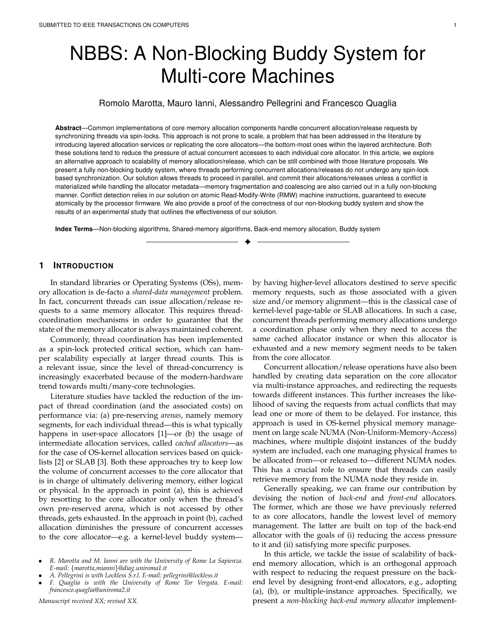# NBBS: A Non-Blocking Buddy System for Multi-core Machines

# Romolo Marotta, Mauro Ianni, Alessandro Pellegrini and Francesco Quaglia

**Abstract**—Common implementations of core memory allocation components handle concurrent allocation/release requests by synchronizing threads via spin-locks. This approach is not prone to scale, a problem that has been addressed in the literature by introducing layered allocation services or replicating the core allocators—the bottom-most ones within the layered architecture. Both these solutions tend to reduce the pressure of actual concurrent accesses to each individual core allocator. In this article, we explore an alternative approach to scalability of memory allocation/release, which can be still combined with those literature proposals. We present a fully non-blocking buddy system, where threads performing concurrent allocations/releases do not undergo any spin-lock based synchronization. Our solution allows threads to proceed in parallel, and commit their allocations/releases unless a conflict is materialized while handling the allocator metadata—memory fragmentation and coalescing are also carried out in a fully non-blocking manner. Conflict detection relies in our solution on atomic Read-Modify-Write (RMW) machine instructions, guaranteed to execute atomically by the processor firmware. We also provide a proof of the correctness of our non-blocking buddy system and show the results of an experimental study that outlines the effectiveness of our solution.

✦

**Index Terms**—Non-blocking algorithms, Shared-memory algorithms, Back-end memory allocation, Buddy system

# **1 INTRODUCTION**

In standard libraries or Operating Systems (OSs), memory allocation is de-facto a *shared-data management* problem. In fact, concurrent threads can issue allocation/release requests to a same memory allocator. This requires threadcoordination mechanisms in order to guarantee that the state of the memory allocator is always maintained coherent.

Commonly, thread coordination has been implemented as a spin-lock protected critical section, which can hamper scalability especially at larger thread counts. This is a relevant issue, since the level of thread-concurrency is increasingly exacerbated because of the modern-hardware trend towards multi/many-core technologies.

Literature studies have tackled the reduction of the impact of thread coordination (and the associated costs) on performance via: (a) pre-reserving *arenas*, namely memory segments, for each individual thread—this is what typically happens in user-space allocators [1]—or (b) the usage of intermediate allocation services, called *cached allocators*—as for the case of OS-kernel allocation services based on quicklists [2] or SLAB [3]. Both these approaches try to keep low the volume of concurrent accesses to the core allocator that is in charge of ultimately delivering memory, either logical or physical. In the approach in point (a), this is achieved by resorting to the core allocator only when the thread's own pre-reserved arena, which is not accessed by other threads, gets exhausted. In the approach in point (b), cached allocation diminishes the pressure of concurrent accesses to the core allocator—e.g. a kernel-level buddy system—

*Manuscript received XX; revised XX.*

by having higher-level allocators destined to serve specific memory requests, such as those associated with a given size and/or memory alignment—this is the classical case of kernel-level page-table or SLAB allocations. In such a case, concurrent threads performing memory allocations undergo a coordination phase only when they need to access the same cached allocator instance or when this allocator is exhausted and a new memory segment needs to be taken from the core allocator.

Concurrent allocation/release operations have also been handled by creating data separation on the core allocator via multi-instance approaches, and redirecting the requests towards different instances. This further increases the likelihood of saving the requests from actual conflicts that may lead one or more of them to be delayed. For instance, this approach is used in OS-kernel physical memory management on large scale NUMA (Non-Uniform-Memory-Access) machines, where multiple disjoint instances of the buddy system are included, each one managing physical frames to be allocated from—or released to—different NUMA nodes. This has a crucial role to ensure that threads can easily retrieve memory from the NUMA node they reside in.

Generally speaking, we can frame our contribution by devising the notion of *back-end* and *front-end* allocators. The former, which are those we have previously referred to as core allocators, handle the lowest level of memory management. The latter are built on top of the back-end allocator with the goals of (i) reducing the access pressure to it and (ii) satisfying more specific purposes.

In this article, we tackle the issue of scalability of backend memory allocation, which is an orthogonal approach with respect to reducing the request pressure on the backend level by designing front-end allocators, e.g., adopting (a), (b), or multiple-instance approaches. Specifically, we present a *non-blocking back-end memory allocator* implement-

<sup>•</sup> *R. Marotta and M. Ianni are with the University of Rome La Sapienza. E-mail:* {*marotta,mianni*}*@diag.uniroma1.it*

<sup>•</sup> *A. Pellegrini is with Lockless S.r.l. E-mail: pellegrini@lockless.it*

<sup>•</sup> *F. Quaglia is with the University of Rome Tor Vergata. E-mail: francesco.quaglia@uniroma2.it*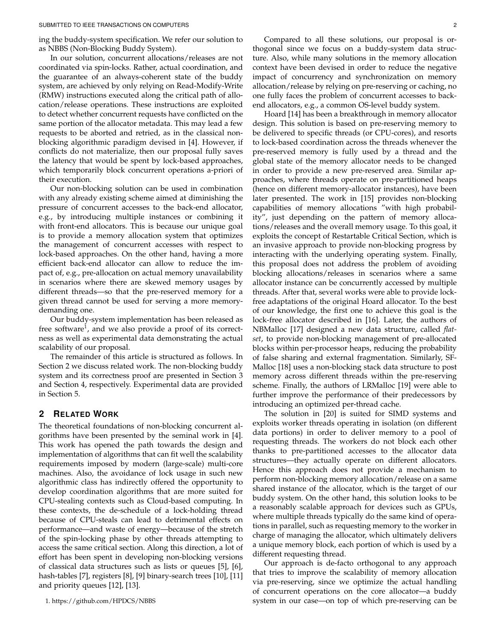ing the buddy-system specification. We refer our solution to as NBBS (Non-Blocking Buddy System).

In our solution, concurrent allocations/releases are not coordinated via spin-locks. Rather, actual coordination, and the guarantee of an always-coherent state of the buddy system, are achieved by only relying on Read-Modify-Write (RMW) instructions executed along the critical path of allocation/release operations. These instructions are exploited to detect whether concurrent requests have conflicted on the same portion of the allocator metadata. This may lead a few requests to be aborted and retried, as in the classical nonblocking algorithmic paradigm devised in [4]. However, if conflicts do not materialize, then our proposal fully saves the latency that would be spent by lock-based approaches, which temporarily block concurrent operations a-priori of their execution.

Our non-blocking solution can be used in combination with any already existing scheme aimed at diminishing the pressure of concurrent accesses to the back-end allocator, e.g., by introducing multiple instances or combining it with front-end allocators. This is because our unique goal is to provide a memory allocation system that optimizes the management of concurrent accesses with respect to lock-based approaches. On the other hand, having a more efficient back-end allocator can allow to reduce the impact of, e.g., pre-allocation on actual memory unavailability in scenarios where there are skewed memory usages by different threads—so that the pre-reserved memory for a given thread cannot be used for serving a more memorydemanding one.

Our buddy-system implementation has been released as free software<sup>1</sup>, and we also provide a proof of its correctness as well as experimental data demonstrating the actual scalability of our proposal.

The remainder of this article is structured as follows. In Section 2 we discuss related work. The non-blocking buddy system and its correctness proof are presented in Section 3 and Section 4, respectively. Experimental data are provided in Section 5.

# **2 RELATED WORK**

The theoretical foundations of non-blocking concurrent algorithms have been presented by the seminal work in [4]. This work has opened the path towards the design and implementation of algorithms that can fit well the scalability requirements imposed by modern (large-scale) multi-core machines. Also, the avoidance of lock usage in such new algorithmic class has indirectly offered the opportunity to develop coordination algorithms that are more suited for CPU-stealing contexts such as Cloud-based computing. In these contexts, the de-schedule of a lock-holding thread because of CPU-steals can lead to detrimental effects on performance—and waste of energy—because of the stretch of the spin-locking phase by other threads attempting to access the same critical section. Along this direction, a lot of effort has been spent in developing non-blocking versions of classical data structures such as lists or queues [5], [6], hash-tables [7], registers [8], [9] binary-search trees [10], [11] and priority queues [12], [13].

1. https://github.com/HPDCS/NBBS

Compared to all these solutions, our proposal is orthogonal since we focus on a buddy-system data structure. Also, while many solutions in the memory allocation context have been devised in order to reduce the negative impact of concurrency and synchronization on memory allocation/release by relying on pre-reserving or caching, no one fully faces the problem of concurrent accesses to backend allocators, e.g., a common OS-level buddy system.

Hoard [14] has been a breakthrough in memory allocator design. This solution is based on pre-reserving memory to be delivered to specific threads (or CPU-cores), and resorts to lock-based coordination across the threads whenever the pre-reserved memory is fully used by a thread and the global state of the memory allocator needs to be changed in order to provide a new pre-reserved area. Similar approaches, where threads operate on pre-partitioned heaps (hence on different memory-allocator instances), have been later presented. The work in [15] provides non-blocking capabilities of memory allocations "with high probability", just depending on the pattern of memory allocations/releases and the overall memory usage. To this goal, it exploits the concept of Restartable Critical Section, which is an invasive approach to provide non-blocking progress by interacting with the underlying operating system. Finally, this proposal does not address the problem of avoiding blocking allocations/releases in scenarios where a same allocator instance can be concurrently accessed by multiple threads. After that, several works were able to provide lockfree adaptations of the original Hoard allocator. To the best of our knowledge, the first one to achieve this goal is the lock-free allocator described in [16]. Later, the authors of NBMalloc [17] designed a new data structure, called *flatset*, to provide non-blocking management of pre-allocated blocks within per-processor heaps, reducing the probability of false sharing and external fragmentation. Similarly, SF-Malloc [18] uses a non-blocking stack data structure to post memory across different threads within the pre-reserving scheme. Finally, the authors of LRMalloc [19] were able to further improve the performance of their predecessors by introducing an optimized per-thread cache.

The solution in [20] is suited for SIMD systems and exploits worker threads operating in isolation (on different data portions) in order to deliver memory to a pool of requesting threads. The workers do not block each other thanks to pre-partitioned accesses to the allocator data structures—they actually operate on different allocators. Hence this approach does not provide a mechanism to perform non-blocking memory allocation/release on a same shared instance of the allocator, which is the target of our buddy system. On the other hand, this solution looks to be a reasonably scalable approach for devices such as GPUs, where multiple threads typically do the same kind of operations in parallel, such as requesting memory to the worker in charge of managing the allocator, which ultimately delivers a unique memory block, each portion of which is used by a different requesting thread.

Our approach is de-facto orthogonal to any approach that tries to improve the scalability of memory allocation via pre-reserving, since we optimize the actual handling of concurrent operations on the core allocator—a buddy system in our case—on top of which pre-reserving can be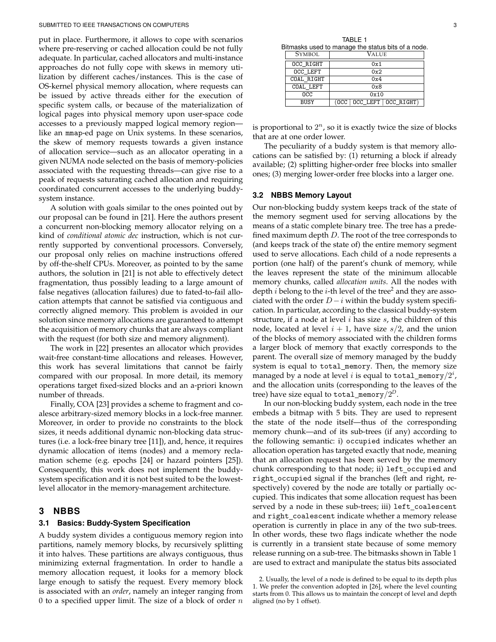put in place. Furthermore, it allows to cope with scenarios where pre-reserving or cached allocation could be not fully adequate. In particular, cached allocators and multi-instance approaches do not fully cope with skews in memory utilization by different caches/instances. This is the case of OS-kernel physical memory allocation, where requests can be issued by active threads either for the execution of specific system calls, or because of the materialization of logical pages into physical memory upon user-space code accesses to a previously mapped logical memory region like an mmap-ed page on Unix systems. In these scenarios, the skew of memory requests towards a given instance of allocation service—such as an allocator operating in a given NUMA node selected on the basis of memory-policies associated with the requesting threads—can give rise to a peak of requests saturating cached allocation and requiring coordinated concurrent accesses to the underlying buddysystem instance.

A solution with goals similar to the ones pointed out by our proposal can be found in [21]. Here the authors present a concurrent non-blocking memory allocator relying on a kind of *conditional atomic dec* instruction, which is not currently supported by conventional processors. Conversely, our proposal only relies on machine instructions offered by off-the-shelf CPUs. Moreover, as pointed to by the same authors, the solution in [21] is not able to effectively detect fragmentation, thus possibly leading to a large amount of false negatives (allocation failures) due to fated-to-fail allocation attempts that cannot be satisfied via contiguous and correctly aligned memory. This problem is avoided in our solution since memory allocations are guaranteed to attempt the acquisition of memory chunks that are always compliant with the request (for both size and memory alignment).

The work in [22] presentes an allocator which provides wait-free constant-time allocations and releases. However, this work has several limitations that cannot be fairly compared with our proposal. In more detail, its memory operations target fixed-sized blocks and an a-priori known number of threads.

Finally, COA [23] provides a scheme to fragment and coalesce arbitrary-sized memory blocks in a lock-free manner. Moreover, in order to provide no constraints to the block sizes, it needs additional dynamic non-blocking data structures (i.e. a lock-free binary tree [11]), and, hence, it requires dynamic allocation of items (nodes) and a memory reclamation scheme (e.g. epochs [24] or hazard pointers [25]). Consequently, this work does not implement the buddysystem specification and it is not best suited to be the lowestlevel allocator in the memory-management architecture.

## **3 NBBS**

## **3.1 Basics: Buddy-System Specification**

A buddy system divides a contiguous memory region into partitions, namely memory blocks, by recursively splitting it into halves. These partitions are always contiguous, thus minimizing external fragmentation. In order to handle a memory allocation request, it looks for a memory block large enough to satisfy the request. Every memory block is associated with an *order*, namely an integer ranging from 0 to a specified upper limit. The size of a block of order  $n$ 

TABLE 1 Bitmasks used to manage the status bits of a node.

| <b>SYMBOL</b>   | VALUE                         |  |  |  |  |  |  |  |
|-----------------|-------------------------------|--|--|--|--|--|--|--|
| OCC RIGHT       | 0x1                           |  |  |  |  |  |  |  |
| OCC LEFT        | 0x2                           |  |  |  |  |  |  |  |
| COAL RIGHT      | 0x4                           |  |  |  |  |  |  |  |
| COAL LEFT       | 0x8                           |  |  |  |  |  |  |  |
| $_{\text{OCC}}$ | 0x10                          |  |  |  |  |  |  |  |
| <b>BUSY</b>     | (0CC   0CC   EFT   0CC RIGHT) |  |  |  |  |  |  |  |

is proportional to  $2^n$ , so it is exactly twice the size of blocks that are at one order lower.

The peculiarity of a buddy system is that memory allocations can be satisfied by: (1) returning a block if already available; (2) splitting higher-order free blocks into smaller ones; (3) merging lower-order free blocks into a larger one.

## **3.2 NBBS Memory Layout**

Our non-blocking buddy system keeps track of the state of the memory segment used for serving allocations by the means of a static complete binary tree. The tree has a predefined maximum depth  $D$ . The root of the tree corresponds to (and keeps track of the state of) the entire memory segment used to serve allocations. Each child of a node represents a portion (one half) of the parent's chunk of memory, while the leaves represent the state of the minimum allocable memory chunks, called *allocation units*. All the nodes with depth  $i$  belong to the  $i$ -th level of the tree $^2$  and they are associated with the order  $D - i$  within the buddy system specification. In particular, according to the classical buddy-system structure, if a node at level  $i$  has size  $s$ , the children of this node, located at level  $i + 1$ , have size  $s/2$ , and the union of the blocks of memory associated with the children forms a larger block of memory that exactly corresponds to the parent. The overall size of memory managed by the buddy system is equal to total memory. Then, the memory size managed by a node at level  $i$  is equal to <code>total\_memory/2 $^i$ ,</code> and the allocation units (corresponding to the leaves of the tree) have size equal to total memory/2 *D*.

In our non-blocking buddy system, each node in the tree embeds a bitmap with 5 bits. They are used to represent the state of the node itself—thus of the corresponding memory chunk—and of its sub-trees (if any) according to the following semantic: i) occupied indicates whether an allocation operation has targeted exactly that node, meaning that an allocation request has been served by the memory chunk corresponding to that node; ii) left\_occupied and right\_occupied signal if the branches (left and right, respectively) covered by the node are totally or partially occupied. This indicates that some allocation request has been served by a node in these sub-trees; iii) left\_coalescent and right\_coalescent indicate whether a memory release operation is currently in place in any of the two sub-trees. In other words, these two flags indicate whether the node is currently in a transient state because of some memory release running on a sub-tree. The bitmasks shown in Table 1 are used to extract and manipulate the status bits associated

<sup>2.</sup> Usually, the level of a node is defined to be equal to its depth plus 1. We prefer the convention adopted in [26], where the level counting starts from 0. This allows us to maintain the concept of level and depth aligned (no by 1 offset).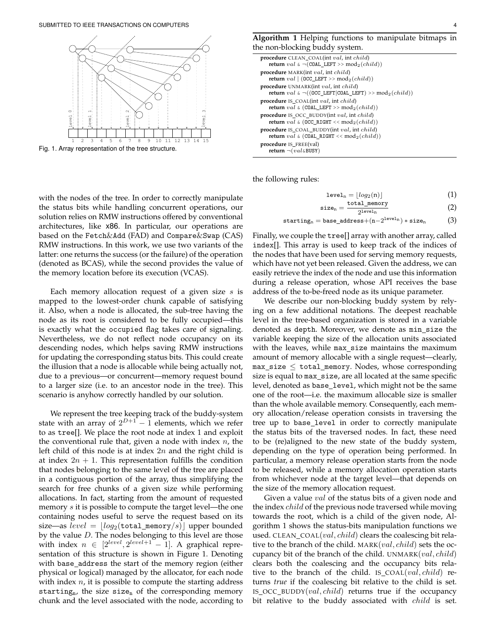

Fig. 1. Array representation of the tree structure.

| <b>procedure</b> CLEAN COAL(int <i>val</i> , int <i>child</i> )                                                                    |
|------------------------------------------------------------------------------------------------------------------------------------|
| return val $\in \neg$ (COAL_LEFT >> mod <sub>2</sub> (child))                                                                      |
| procedure MARK(int val, int child)<br>return val $ $ (OCC_LEFT >> mod <sub>2</sub> (child))                                        |
| procedure UNMARK(int val, int child)<br>return val $\in \neg((\texttt{OCC\_LEFT}  \texttt{COAL\_LEFT}) \gg \texttt{mod}_2(child))$ |
| <b>procedure</b> IS COAL(int <i>val</i> , int <i>child</i> )<br><b>return</b> val & (COAL LEFT >> mod <sub>2</sub> (child))        |
| procedure IS_OCC_BUDDY(int val, int child)<br>return val & (OCC_RIGHT << $mod_2(child)$ )                                          |
| <b>procedure</b> IS COAL BUDDY(int <i>val</i> , int <i>child</i> )<br>return val & (COAL_RIGHT << $\text{mod}_2(child)$ )          |
| <b>procedure</b> IS FREE(val)<br>return $\neg (val \& BUSY)$                                                                       |

the following rules:

$$
level_n = \lfloor log_2(n) \rfloor \tag{1}
$$

$$
size_n = \frac{total\_memory}{2^{level_n}}
$$
 (2)

$$
\mathtt{starting}_n = \mathtt{base\_address} + (n - 2^{\texttt{level}_n}) * \mathtt{size}_n \qquad \quad \texttt{(3)}
$$

with the nodes of the tree. In order to correctly manipulate the status bits while handling concurrent operations, our solution relies on RMW instructions offered by conventional architectures, like x86. In particular, our operations are based on the Fetch&Add (FAD) and Compare&Swap (CAS) RMW instructions. In this work, we use two variants of the latter: one returns the success (or the failure) of the operation (denoted as BCAS), while the second provides the value of the memory location before its execution (VCAS).

Each memory allocation request of a given size  $s$  is mapped to the lowest-order chunk capable of satisfying it. Also, when a node is allocated, the sub-tree having the node as its root is considered to be fully occupied—this is exactly what the occupied flag takes care of signaling. Nevertheless, we do not reflect node occupancy on its descending nodes, which helps saving RMW instructions for updating the corresponding status bits. This could create the illusion that a node is allocable while being actually not, due to a previous—or concurrent—memory request bound to a larger size (i.e. to an ancestor node in the tree). This scenario is anyhow correctly handled by our solution.

We represent the tree keeping track of the buddy-system state with an array of  $2^{D+1} - 1$  elements, which we refer to as tree[]. We place the root node at index 1 and exploit the conventional rule that, given a node with index  $n$ , the left child of this node is at index  $2n$  and the right child is at index  $2n + 1$ . This representation fulfills the condition that nodes belonging to the same level of the tree are placed in a contiguous portion of the array, thus simplifying the search for free chunks of a given size while performing allocations. In fact, starting from the amount of requested memory  $s$  it is possible to compute the target level—the one containing nodes useful to serve the request based on its size—as  $level = \lfloor log_2(\text{total\_memory}/s) \rfloor$  upper bounded by the value  $D$ . The nodes belonging to this level are those with index  $n \in [2^{level}, 2^{level+1} - 1]$ . A graphical representation of this structure is shown in Figure 1. Denoting with base\_address the start of the memory region (either physical or logical) managed by the allocator, for each node with index  $n$ , it is possible to compute the starting address starting<sub>n</sub>, the size size<sub>n</sub> of the corresponding memory chunk and the level associated with the node, according to

Finally, we couple the tree[] array with another array, called index[]. This array is used to keep track of the indices of the nodes that have been used for serving memory requests, which have not yet been released. Given the address, we can easily retrieve the index of the node and use this information during a release operation, whose API receives the base address of the to-be-freed node as its unique parameter.

We describe our non-blocking buddy system by relying on a few additional notations. The deepest reachable level in the tree-based organization is stored in a variable denoted as depth. Moreover, we denote as min\_size the variable keeping the size of the allocation units associated with the leaves, while max\_size maintains the maximum amount of memory allocable with a single request—clearly,  $max_size \le total_meanory. Nodes, whose corresponding$ size is equal to max size, are all located at the same specific level, denoted as base\_level, which might not be the same one of the root—i.e. the maximum allocable size is smaller than the whole available memory. Consequently, each memory allocation/release operation consists in traversing the tree up to base\_level in order to correctly manipulate the status bits of the traversed nodes. In fact, these need to be (re)aligned to the new state of the buddy system, depending on the type of operation being performed. In particular, a memory release operation starts from the node to be released, while a memory allocation operation starts from whichever node at the target level—that depends on the size of the memory allocation request.

Given a value val of the status bits of a given node and the index *child* of the previous node traversed while moving towards the root, which is a child of the given node, Algorithm 1 shows the status-bits manipulation functions we used. CLEAN\_COAL $(val, child)$  clears the coalescing bit relative to the branch of the child. MARK $(val, child)$  sets the occupancy bit of the branch of the child. UNMARK $(val, child)$ clears both the coalescing and the occupancy bits relative to the branch of the child. IS\_COAL $(val, child)$  returns *true* if the coalescing bit relative to the child is set. IS\_OCC\_BUDDY $(val, child)$  returns true if the occupancy bit relative to the buddy associated with *child* is set.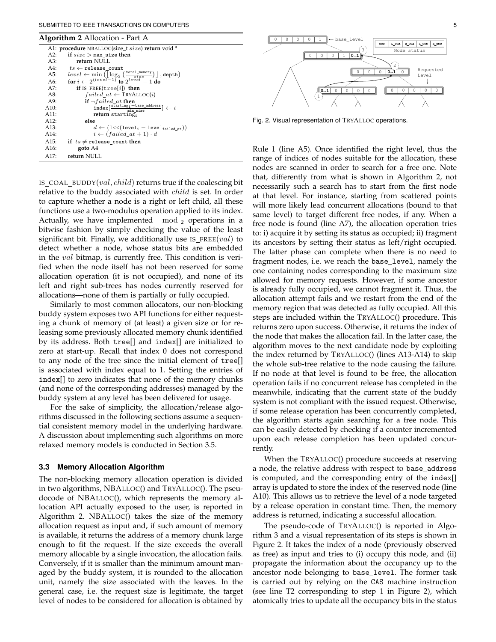## SUBMITTED TO IEEE TRANSACTIONS ON COMPUTERS 5

| <b>Algorithm 2</b> Allocation - Part A |                                                                                                                                                                                       |  |  |  |  |  |  |
|----------------------------------------|---------------------------------------------------------------------------------------------------------------------------------------------------------------------------------------|--|--|--|--|--|--|
|                                        | A1: procedure NBALLOC(size_t size) return void *                                                                                                                                      |  |  |  |  |  |  |
| A2:                                    | if $size$ > max size then                                                                                                                                                             |  |  |  |  |  |  |
| A3:                                    | return NULL                                                                                                                                                                           |  |  |  |  |  |  |
| A4:                                    | $ts \leftarrow$ release_count                                                                                                                                                         |  |  |  |  |  |  |
| A5:                                    | $level \leftarrow \min\limits_{\textbf{for } i \leftarrow 2} (\underbrace{\texttt{len}(\underbrace{\texttt{total\_memory}}_{size})}_{\textbf{to } i \leftarrow 2} ), \textbf{depth})$ |  |  |  |  |  |  |
| A6:                                    |                                                                                                                                                                                       |  |  |  |  |  |  |
| A7:                                    | if IS FREE(tree[i]) then                                                                                                                                                              |  |  |  |  |  |  |
| A8:                                    | $failed_at \leftarrow \text{TRYALLOC}(i)$                                                                                                                                             |  |  |  |  |  |  |
| A9:                                    | if $\neg failed_at$ then                                                                                                                                                              |  |  |  |  |  |  |
| A10:                                   | $index[\frac{starting_i - base\_address}{min size}] \leftarrow i$                                                                                                                     |  |  |  |  |  |  |
| A11:                                   | return starting;                                                                                                                                                                      |  |  |  |  |  |  |
| A12:                                   | else                                                                                                                                                                                  |  |  |  |  |  |  |
| A13:                                   | $d \leftarrow (1 \ll (1 \text{evel}_1 - 1 \text{evel}_{\text{failed at}}))$                                                                                                           |  |  |  |  |  |  |
| A14:                                   | $i \leftarrow (failed \atop t+1) \cdot d$                                                                                                                                             |  |  |  |  |  |  |
| A15:                                   | if $ts \ne$ release count then                                                                                                                                                        |  |  |  |  |  |  |
| A <sub>16</sub> :                      | goto A4                                                                                                                                                                               |  |  |  |  |  |  |
| A17:                                   | return NULL                                                                                                                                                                           |  |  |  |  |  |  |
|                                        |                                                                                                                                                                                       |  |  |  |  |  |  |

IS\_COAL\_BUDDY $(val, child)$  returns true if the coalescing bit relative to the buddy associated with *child* is set. In order to capture whether a node is a right or left child, all these functions use a two-modulus operation applied to its index. Actually, we have implemented  $\mod_2$  operations in a bitwise fashion by simply checking the value of the least significant bit. Finally, we additionally use  $IS$ <sub>FREE</sub> $(val)$  to detect whether a node, whose status bits are embedded in the val bitmap, is currently free. This condition is verified when the node itself has not been reserved for some allocation operation (it is not occupied), and none of its left and right sub-trees has nodes currently reserved for allocations—none of them is partially or fully occupied.

Similarly to most common allocators, our non-blocking buddy system exposes two API functions for either requesting a chunk of memory of (at least) a given size or for releasing some previously allocated memory chunk identified by its address. Both tree[] and index[] are initialized to zero at start-up. Recall that index 0 does not correspond to any node of the tree since the initial element of tree[] is associated with index equal to 1. Setting the entries of index[] to zero indicates that none of the memory chunks (and none of the corresponding addresses) managed by the buddy system at any level has been delivered for usage.

For the sake of simplicity, the allocation/release algorithms discussed in the following sections assume a sequential consistent memory model in the underlying hardware. A discussion about implementing such algorithms on more relaxed memory models is conducted in Section 3.5.

## **3.3 Memory Allocation Algorithm**

The non-blocking memory allocation operation is divided in two algorithms, NBALLOC() and TRYALLOC(). The pseudocode of NBALLOC(), which represents the memory allocation API actually exposed to the user, is reported in Algorithm 2. NBALLOC() takes the size of the memory allocation request as input and, if such amount of memory is available, it returns the address of a memory chunk large enough to fit the request. If the size exceeds the overall memory allocable by a single invocation, the allocation fails. Conversely, if it is smaller than the minimum amount managed by the buddy system, it is rounded to the allocation unit, namely the size associated with the leaves. In the general case, i.e. the request size is legitimate, the target level of nodes to be considered for allocation is obtained by



Fig. 2. Visual representation of TRYALLOC operations.

Rule 1 (line A5). Once identified the right level, thus the range of indices of nodes suitable for the allocation, these nodes are scanned in order to search for a free one. Note that, differently from what is shown in Algorithm 2, not necessarily such a search has to start from the first node at that level. For instance, starting from scattered points will more likely lead concurrent allocations (bound to that same level) to target different free nodes, if any. When a free node is found (line A7), the allocation operation tries to: i) acquire it by setting its status as occupied; ii) fragment its ancestors by setting their status as left/right occupied. The latter phase can complete when there is no need to fragment nodes, i.e. we reach the base\_level, namely the one containing nodes corresponding to the maximum size allowed for memory requests. However, if some ancestor is already fully occupied, we cannot fragment it. Thus, the allocation attempt fails and we restart from the end of the memory region that was detected as fully occupied. All this steps are included within the TRYALLOC() procedure. This returns zero upon success. Otherwise, it returns the index of the node that makes the allocation fail. In the latter case, the algorithm moves to the next candidate node by exploiting the index returned by TRYALLOC() (lines A13-A14) to skip the whole sub-tree relative to the node causing the failure. If no node at that level is found to be free, the allocation operation fails if no concurrent release has completed in the meanwhile, indicating that the current state of the buddy system is not compliant with the issued request. Otherwise, if some release operation has been concurrently completed, the algorithm starts again searching for a free node. This can be easily detected by checking if a counter incremented upon each release completion has been updated concurrently.

When the TRYALLOC() procedure succeeds at reserving a node, the relative address with respect to base address is computed, and the corresponding entry of the index[] array is updated to store the index of the reserved node (line A10). This allows us to retrieve the level of a node targeted by a release operation in constant time. Then, the memory address is returned, indicating a successful allocation.

The pseudo-code of TRYALLOC() is reported in Algorithm 3 and a visual representation of its steps is shown in Figure 2. It takes the index of a node (previously observed as free) as input and tries to (i) occupy this node, and (ii) propagate the information about the occupancy up to the ancestor node belonging to base level. The former task is carried out by relying on the CAS machine instruction (see line T2 corresponding to step 1 in Figure 2), which atomically tries to update all the occupancy bits in the status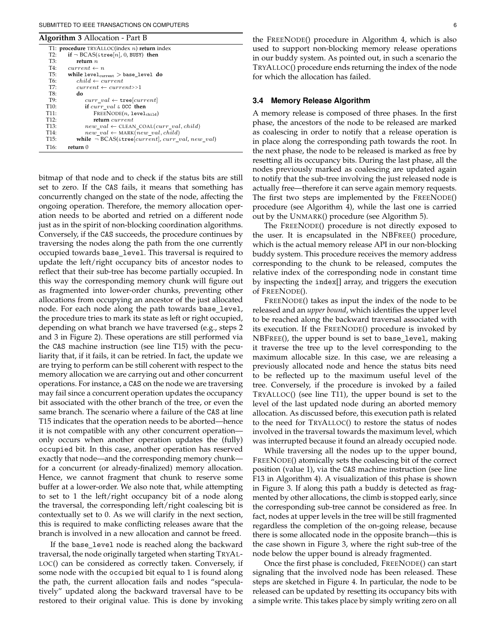## SUBMITTED TO IEEE TRANSACTIONS ON COMPUTERS 6

#### **Algorithm 3** Allocation - Part B

| ັ                 |                                                              |
|-------------------|--------------------------------------------------------------|
|                   | T1: <b>procedure</b> $TRYALLOC(index n)$ <b>return</b> index |
| T2:               | if $\neg$ BCAS(&tree[n], 0, BUSY) then                       |
| T3:               | return $n$                                                   |
| T4:               | $current \leftarrow n$                                       |
| T5:               | while $level_{current}$ $>$ base_level do                    |
| T6:               | $child \leftarrow current$                                   |
| T7:               | $current \leftarrow current \rightarrow$                     |
| T8:               | do                                                           |
| T9:               | $curr\_val \leftarrow \texttt{tree}[current]$                |
| T10:              | if $curr\_val$ & OCC then                                    |
| T11:              | $FREENODE(n, level_{child})$                                 |
| T12:              | return current                                               |
| T <sub>13</sub> : | $new\_val \leftarrow \text{CLEAN\_COAL}(curr\_val, child)$   |
| T14:              | $new\_val \leftarrow \text{MARK}(new\_val, child)$           |
| T <sub>15</sub> : | while $\neg BCAS(\& tree[current], curr\_val, new\_val)$     |
| T <sub>16</sub> : | return ()                                                    |

bitmap of that node and to check if the status bits are still set to zero. If the CAS fails, it means that something has concurrently changed on the state of the node, affecting the ongoing operation. Therefore, the memory allocation operation needs to be aborted and retried on a different node just as in the spirit of non-blocking coordination algorithms. Conversely, if the CAS succeeds, the procedure continues by traversing the nodes along the path from the one currently occupied towards base\_level. This traversal is required to update the left/right occupancy bits of ancestor nodes to reflect that their sub-tree has become partially occupied. In this way the corresponding memory chunk will figure out as fragmented into lower-order chunks, preventing other allocations from occupying an ancestor of the just allocated node. For each node along the path towards base\_level, the procedure tries to mark its state as left or right occupied, depending on what branch we have traversed (e.g., steps 2 and 3 in Figure 2). These operations are still performed via the CAS machine instruction (see line T15) with the peculiarity that, if it fails, it can be retried. In fact, the update we are trying to perform can be still coherent with respect to the memory allocation we are carrying out and other concurrent operations. For instance, a CAS on the node we are traversing may fail since a concurrent operation updates the occupancy bit associated with the other branch of the tree, or even the same branch. The scenario where a failure of the CAS at line T15 indicates that the operation needs to be aborted—hence it is not compatible with any other concurrent operation only occurs when another operation updates the (fully) occupied bit. In this case, another operation has reserved exactly that node—and the corresponding memory chunk for a concurrent (or already-finalized) memory allocation. Hence, we cannot fragment that chunk to reserve some buffer at a lower-order. We also note that, while attempting to set to 1 the left/right occupancy bit of a node along the traversal, the corresponding left/right coalescing bit is contextually set to 0. As we will clarify in the next section, this is required to make conflicting releases aware that the branch is involved in a new allocation and cannot be freed.

If the base\_level node is reached along the backward traversal, the node originally targeted when starting TRYAL-LOC() can be considered as correctly taken. Conversely, if some node with the occupied bit equal to 1 is found along the path, the current allocation fails and nodes "speculatively" updated along the backward traversal have to be restored to their original value. This is done by invoking

the FREENODE() procedure in Algorithm 4, which is also used to support non-blocking memory release operations in our buddy system. As pointed out, in such a scenario the TRYALLOC() procedure ends returning the index of the node for which the allocation has failed.

#### **3.4 Memory Release Algorithm**

A memory release is composed of three phases. In the first phase, the ancestors of the node to be released are marked as coalescing in order to notify that a release operation is in place along the corresponding path towards the root. In the next phase, the node to be released is marked as free by resetting all its occupancy bits. During the last phase, all the nodes previously marked as coalescing are updated again to notify that the sub-tree involving the just released node is actually free—therefore it can serve again memory requests. The first two steps are implemented by the FREENODE() procedure (see Algorithm 4), while the last one is carried out by the UNMARK() procedure (see Algorithm 5).

The FREENODE() procedure is not directly exposed to the user. It is encapsulated in the NBFREE() procedure, which is the actual memory release API in our non-blocking buddy system. This procedure receives the memory address corresponding to the chunk to be released, computes the relative index of the corresponding node in constant time by inspecting the index[] array, and triggers the execution of FREENODE().

FREENODE() takes as input the index of the node to be released and an *upper bound*, which identifies the upper level to be reached along the backward traversal associated with its execution. If the FREENODE() procedure is invoked by NBFREE(), the upper bound is set to base\_level, making it traverse the tree up to the level corresponding to the maximum allocable size. In this case, we are releasing a previously allocated node and hence the status bits need to be reflected up to the maximum useful level of the tree. Conversely, if the procedure is invoked by a failed TRYALLOC() (see line T11), the upper bound is set to the level of the last updated node during an aborted memory allocation. As discussed before, this execution path is related to the need for TRYALLOC() to restore the status of nodes involved in the traversal towards the maximum level, which was interrupted because it found an already occupied node.

While traversing all the nodes up to the upper bound, FREENODE() atomically sets the coalescing bit of the correct position (value 1), via the CAS machine instruction (see line F13 in Algorithm 4). A visualization of this phase is shown in Figure 3. If along this path a buddy is detected as fragmented by other allocations, the climb is stopped early, since the corresponding sub-tree cannot be considered as free. In fact, nodes at upper levels in the tree will be still fragmented regardless the completion of the on-going release, because there is some allocated node in the opposite branch—this is the case shown in Figure 3, where the right sub-tree of the node below the upper bound is already fragmented.

Once the first phase is concluded, FREENODE() can start signaling that the involved node has been released. These steps are sketched in Figure 4. In particular, the node to be released can be updated by resetting its occupancy bits with a simple write. This takes place by simply writing zero on all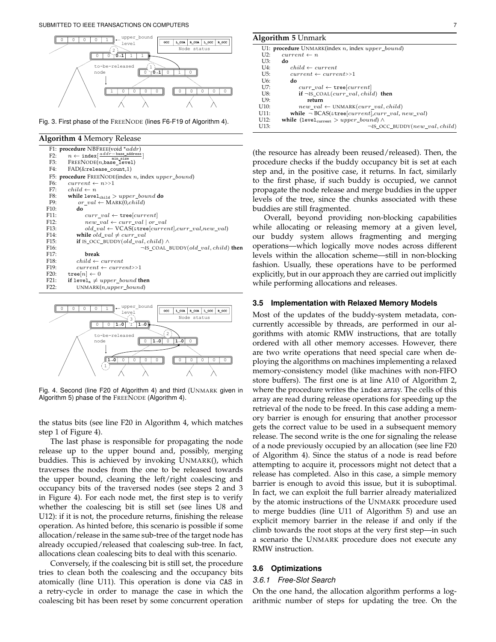

Fig. 3. First phase of the FREENODE (lines F6-F19 of Algorithm 4).

#### **Algorithm 4** Memory Release

| ັ                 |                                                                                               |
|-------------------|-----------------------------------------------------------------------------------------------|
|                   | F1: procedure NBFREE(void $*addr$ )                                                           |
|                   | $n \leftarrow \texttt{index}[\frac{addr - \texttt{base\_address}}{\texttt{min size}}]$<br>F2: |
|                   | F3:<br>$FREENODE(n, base\_level)$                                                             |
|                   | F4:<br>$FAD(\&$ release_count,1)                                                              |
|                   | F5: procedure $FREENODE$ (index <i>n</i> , index <i>upper_bound</i> )                         |
|                   | F6:<br>$current \leftarrow n>>1$                                                              |
|                   | F7:<br>$child \leftarrow n$                                                                   |
|                   | F8:<br>while $level_{child} > upper\_bound$ do                                                |
|                   | F9:<br>$or\_val \leftarrow \text{MARK}(0, child)$                                             |
| F10:              | do                                                                                            |
| F11:              | $curr\_val \leftarrow \texttt{tree}[current]$                                                 |
| F12:              | $new\_val \leftarrow curr\_val \mid or\_val$                                                  |
| F <sub>13</sub> : | $old\_val \leftarrow VCAS(\&\texttt{tree}[current].curr\_val,new\_val)$                       |
| F14:              | while $old\_val \neq curr\_val$                                                               |
| F <sub>15</sub> : | <b>if</b> IS OCC BUDDY(old val, child) $\wedge$                                               |
| F <sub>16</sub> : | $\neg$ IS_COAL_BUDDY(old_val, child) then                                                     |
| F <sub>17</sub> : | break                                                                                         |
| F <sub>18</sub> : | $child \leftarrow current$                                                                    |
| F <sub>19</sub> : | $current \leftarrow current \rightarrow 1$                                                    |
| F20:              | tree $[n] \leftarrow 0$                                                                       |
| F21:              | if level <sub>n</sub> $\neq upper\_bound$ then                                                |
| F22:              | $UNMARK(n, upper\_bound)$                                                                     |
|                   |                                                                                               |
|                   |                                                                                               |



Fig. 4. Second (line F20 of Algorithm 4) and third (UNMARK given in Algorithm 5) phase of the FREENODE (Algorithm 4).

the status bits (see line F20 in Algorithm 4, which matches step 1 of Figure 4).

The last phase is responsible for propagating the node release up to the upper bound and, possibly, merging buddies. This is achieved by invoking UNMARK(), which traverses the nodes from the one to be released towards the upper bound, cleaning the left/right coalescing and occupancy bits of the traversed nodes (see steps 2 and 3 in Figure 4). For each node met, the first step is to verify whether the coalescing bit is still set (see lines U8 and U12): if it is not, the procedure returns, finishing the release operation. As hinted before, this scenario is possible if some allocation/release in the same sub-tree of the target node has already occupied/released that coalescing sub-tree. In fact, allocations clean coalescing bits to deal with this scenario.

Conversely, if the coalescing bit is still set, the procedure tries to clean both the coalescing and the occupancy bits atomically (line U11). This operation is done via CAS in a retry-cycle in order to manage the case in which the coalescing bit has been reset by some concurrent operation **Algorithm 5** Unmark

| U1: procedure UNMARK(index n, index upper_bound)            |
|-------------------------------------------------------------|
| $current \leftarrow n$                                      |
| do                                                          |
| $child \leftarrow current$                                  |
| $current \leftarrow current \rightarrow$                    |
| do                                                          |
| $curr\_val \leftarrow \texttt{tree}[current]$               |
| if $\neg$ IS_COAL(curr_val, child) then                     |
| return                                                      |
| $new\_val \leftarrow \text{UNMARK}(curr\_val, child)$       |
| while $\neg$ BCAS( $\&$ tree[current],curr_val, new_val)    |
| while (level <sub>current</sub> $> upper\_bound$ ) $\wedge$ |
| $\neg$ IS_OCC_BUDDY(new_val, child)                         |
|                                                             |

(the resource has already been reused/released). Then, the procedure checks if the buddy occupancy bit is set at each step and, in the positive case, it returns. In fact, similarly to the first phase, if such buddy is occupied, we cannot propagate the node release and merge buddies in the upper levels of the tree, since the chunks associated with these buddies are still fragmented.

Overall, beyond providing non-blocking capabilities while allocating or releasing memory at a given level, our buddy system allows fragmenting and merging operations—which logically move nodes across different levels within the allocation scheme—still in non-blocking fashion. Usually, these operations have to be performed explicitly, but in our approach they are carried out implicitly while performing allocations and releases.

## **3.5 Implementation with Relaxed Memory Models**

Most of the updates of the buddy-system metadata, concurrently accessible by threads, are performed in our algorithms with atomic RMW instructions, that are totally ordered with all other memory accesses. However, there are two write operations that need special care when deploying the algorithms on machines implementing a relaxed memory-consistency model (like machines with non-FIFO store buffers). The first one is at line A10 of Algorithm 2, where the procedure writes the index array. The cells of this array are read during release operations for speeding up the retrieval of the node to be freed. In this case adding a memory barrier is enough for ensuring that another processor gets the correct value to be used in a subsequent memory release. The second write is the one for signaling the release of a node previously occupied by an allocation (see line F20 of Algorithm 4). Since the status of a node is read before attempting to acquire it, processors might not detect that a release has completed. Also in this case, a simple memory barrier is enough to avoid this issue, but it is suboptimal. In fact, we can exploit the full barrier already materialized by the atomic instructions of the UNMARK procedure used to merge buddies (line U11 of Algorithm 5) and use an explicit memory barrier in the release if and only if the climb towards the root stops at the very first step—in such a scenario the UNMARK procedure does not execute any RMW instruction.

## **3.6 Optimizations**

## *3.6.1 Free-Slot Search*

On the one hand, the allocation algorithm performs a logarithmic number of steps for updating the tree. On the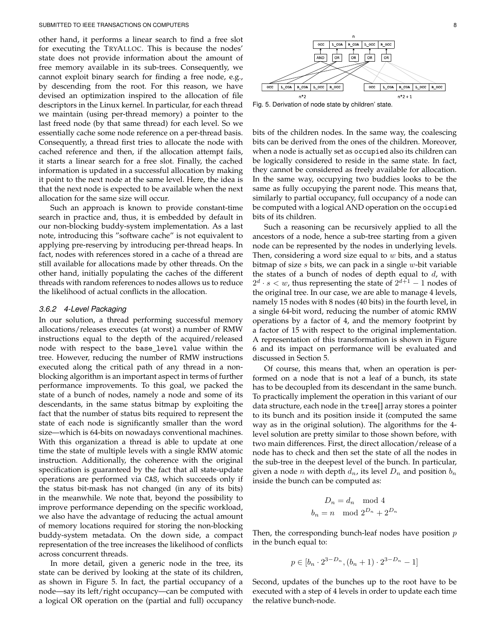other hand, it performs a linear search to find a free slot for executing the TRYALLOC. This is because the nodes' state does not provide information about the amount of free memory available in its sub-trees. Consequently, we cannot exploit binary search for finding a free node, e.g., by descending from the root. For this reason, we have devised an optimization inspired to the allocation of file descriptors in the Linux kernel. In particular, for each thread we maintain (using per-thread memory) a pointer to the last freed node (by that same thread) for each level. So we essentially cache some node reference on a per-thread basis. Consequently, a thread first tries to allocate the node with cached reference and then, if the allocation attempt fails, it starts a linear search for a free slot. Finally, the cached information is updated in a successful allocation by making it point to the next node at the same level. Here, the idea is that the next node is expected to be available when the next allocation for the same size will occur.

Such an approach is known to provide constant-time search in practice and, thus, it is embedded by default in our non-blocking buddy-system implementation. As a last note, introducing this "software cache" is not equivalent to applying pre-reserving by introducing per-thread heaps. In fact, nodes with references stored in a cache of a thread are still available for allocations made by other threads. On the other hand, initially populating the caches of the different threads with random references to nodes allows us to reduce the likelihood of actual conflicts in the allocation.

## *3.6.2 4-Level Packaging*

In our solution, a thread performing successful memory allocations/releases executes (at worst) a number of RMW instructions equal to the depth of the acquired/released node with respect to the base level value within the tree. However, reducing the number of RMW instructions executed along the critical path of any thread in a nonblocking algorithm is an important aspect in terms of further performance improvements. To this goal, we packed the state of a bunch of nodes, namely a node and some of its descendants, in the same status bitmap by exploiting the fact that the number of status bits required to represent the state of each node is significantly smaller than the word size—which is 64-bits on nowadays conventional machines. With this organization a thread is able to update at one time the state of multiple levels with a single RMW atomic instruction. Additionally, the coherence with the original specification is guaranteed by the fact that all state-update operations are performed via CAS, which succeeds only if the status bit-mask has not changed (in any of its bits) in the meanwhile. We note that, beyond the possibility to improve performance depending on the specific workload, we also have the advantage of reducing the actual amount of memory locations required for storing the non-blocking buddy-system metadata. On the down side, a compact representation of the tree increases the likelihood of conflicts across concurrent threads.

In more detail, given a generic node in the tree, its state can be derived by looking at the state of its children, as shown in Figure 5. In fact, the partial occupancy of a node—say its left/right occupancy—can be computed with a logical OR operation on the (partial and full) occupancy



Fig. 5. Derivation of node state by children' state.

bits of the children nodes. In the same way, the coalescing bits can be derived from the ones of the children. Moreover, when a node is actually set as occupied also its children can be logically considered to reside in the same state. In fact, they cannot be considered as freely available for allocation. In the same way, occupying two buddies looks to be the same as fully occupying the parent node. This means that, similarly to partial occupancy, full occupancy of a node can be computed with a logical AND operation on the occupied bits of its children.

Such a reasoning can be recursively applied to all the ancestors of a node, hence a sub-tree starting from a given node can be represented by the nodes in underlying levels. Then, considering a word size equal to  $w$  bits, and a status bitmap of size  $s$  bits, we can pack in a single  $w$ -bit variable the states of a bunch of nodes of depth equal to  $d$ , with  $2^d \cdot s < w$ , thus representing the state of  $2^{d+1} - 1$  nodes of the original tree. In our case, we are able to manage 4 levels, namely 15 nodes with 8 nodes (40 bits) in the fourth level, in a single 64-bit word, reducing the number of atomic RMW operations by a factor of 4, and the memory footprint by a factor of 15 with respect to the original implementation. A representation of this transformation is shown in Figure 6 and its impact on performance will be evaluated and discussed in Section 5.

Of course, this means that, when an operation is performed on a node that is not a leaf of a bunch, its state has to be decoupled from its descendant in the same bunch. To practically implement the operation in this variant of our data structure, each node in the tree[] array stores a pointer to its bunch and its position inside it (computed the same way as in the original solution). The algorithms for the 4 level solution are pretty similar to those shown before, with two main differences. First, the direct allocation/release of a node has to check and then set the state of all the nodes in the sub-tree in the deepest level of the bunch. In particular, given a node *n* with depth  $d_n$ , its level  $D_n$  and position  $b_n$ inside the bunch can be computed as:

$$
D_n = d_n \mod 4
$$
  

$$
b_n = n \mod 2^{D_n} + 2^{D_n}
$$

Then, the corresponding bunch-leaf nodes have position  $p$ in the bunch equal to:

$$
p \in [b_n \cdot 2^{3-D_n}, (b_n+1) \cdot 2^{3-D_n} - 1]
$$

Second, updates of the bunches up to the root have to be executed with a step of 4 levels in order to update each time the relative bunch-node.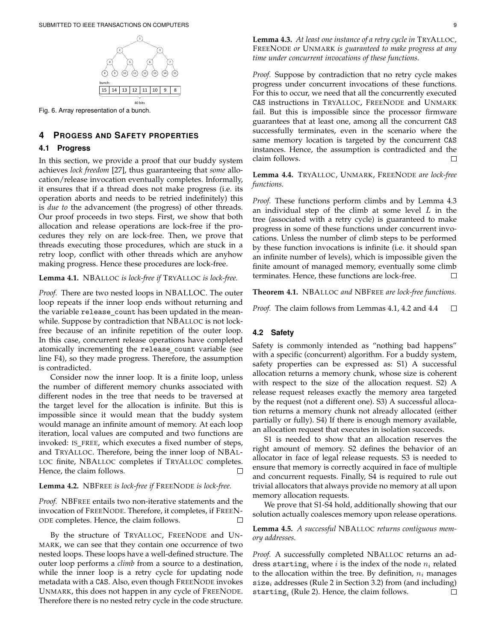

Fig. 6. Array representation of a bunch.

# **4 PROGESS AND SAFETY PROPERTIES**

# **4.1 Progress**

In this section, we provide a proof that our buddy system achieves *lock freedom* [27], thus guaranteeing that *some* allocation/release invocation eventually completes. Informally, it ensures that if a thread does not make progress (i.e. its operation aborts and needs to be retried indefinitely) this is *due to* the advancement (the progress) of other threads. Our proof proceeds in two steps. First, we show that both allocation and release operations are lock-free if the procedures they rely on are lock-free. Then, we prove that threads executing those procedures, which are stuck in a retry loop, conflict with other threads which are anyhow making progress. Hence these procedures are lock-free.

**Lemma 4.1.** NBALLOC *is lock-free if* TRYALLOC *is lock-free.*

*Proof.* There are two nested loops in NBALLOC. The outer loop repeats if the inner loop ends without returning and the variable release count has been updated in the meanwhile. Suppose by contradiction that NBALLOC is not lockfree because of an infinite repetition of the outer loop. In this case, concurrent release operations have completed atomically incrementing the release count variable (see line F4), so they made progress. Therefore, the assumption is contradicted.

Consider now the inner loop. It is a finite loop, unless the number of different memory chunks associated with different nodes in the tree that needs to be traversed at the target level for the allocation is infinite. But this is impossible since it would mean that the buddy system would manage an infinite amount of memory. At each loop iteration, local values are computed and two functions are invoked: IS FREE, which executes a fixed number of steps, and TRYALLOC. Therefore, being the inner loop of NBAL-LOC finite, NBALLOC completes if TRYALLOC completes. Hence, the claim follows.  $\Box$ 

# **Lemma 4.2.** NBFREE *is lock-free if* FREENODE *is lock-free.*

*Proof.* NBFREE entails two non-iterative statements and the invocation of FREENODE. Therefore, it completes, if FREEN-ODE completes. Hence, the claim follows.  $\Box$ 

By the structure of TRYALLOC, FREENODE and UN-MARK, we can see that they contain one occurrence of two nested loops. These loops have a well-defined structure. The outer loop performs a *climb* from a source to a destination, while the inner loop is a retry cycle for updating node metadata with a CAS. Also, even though FREENODE invokes UNMARK, this does not happen in any cycle of FREENODE. Therefore there is no nested retry cycle in the code structure.

**Lemma 4.3.** *At least one instance of a retry cycle in* TRYALLOC*,* FREENODE *or* UNMARK *is guaranteed to make progress at any time under concurrent invocations of these functions.*

*Proof.* Suppose by contradiction that no retry cycle makes progress under concurrent invocations of these functions. For this to occur, we need that all the concurrently executed CAS instructions in TRYALLOC, FREENODE and UNMARK fail. But this is impossible since the processor firmware guarantees that at least one, among all the concurrent CAS successfully terminates, even in the scenario where the same memory location is targeted by the concurrent CAS instances. Hence, the assumption is contradicted and the claim follows. П

**Lemma 4.4.** TRYALLOC, UNMARK, FREENODE *are lock-free functions.*

*Proof.* These functions perform climbs and by Lemma 4.3 an individual step of the climb at some level  $L$  in the tree (associated with a retry cycle) is guaranteed to make progress in some of these functions under concurrent invocations. Unless the number of climb steps to be performed by these function invocations is infinite (i.e. it should span an infinite number of levels), which is impossible given the finite amount of managed memory, eventually some climb terminates. Hence, these functions are lock-free. П

**Theorem 4.1.** NBALLOC *and* NBFREE *are lock-free functions.*

*Proof.* The claim follows from Lemmas 4.1, 4.2 and 4.4  $\Box$ 

# **4.2 Safety**

Safety is commonly intended as "nothing bad happens" with a specific (concurrent) algorithm. For a buddy system, safety properties can be expressed as: S1) A successful allocation returns a memory chunk, whose size is coherent with respect to the size of the allocation request. S2) A release request releases exactly the memory area targeted by the request (not a different one). S3) A successful allocation returns a memory chunk not already allocated (either partially or fully). S4) If there is enough memory available, an allocation request that executes in isolation succeeds.

S1 is needed to show that an allocation reserves the right amount of memory. S2 defines the behavior of an allocator in face of legal release requests. S3 is needed to ensure that memory is correctly acquired in face of multiple and concurrent requests. Finally, S4 is required to rule out trivial allocators that always provide no memory at all upon memory allocation requests.

We prove that S1-S4 hold, additionally showing that our solution actually coalesces memory upon release operations.

**Lemma 4.5.** *A successful* NBALLOC *returns contiguous memory addresses.*

*Proof.* A successfully completed NBALLOC returns an address starting, where i is the index of the node  $n_i$  related to the allocation within the tree. By definition,  $n_i$  manages size<sub>i</sub> addresses (Rule 2 in Section 3.2) from (and including)  $\texttt{starting}_i$  (Rule 2). Hence, the claim follows.  $\Box$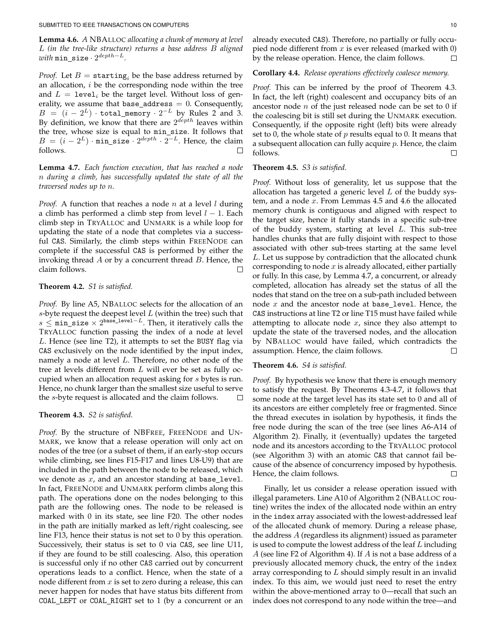**Lemma 4.6.** *A* NBALLOC *allocating a chunk of memory at level* L *(in the tree-like structure) returns a base address* B *aligned*  $with$  min\_size ·  $2^{depth-L}.$ 

*Proof.* Let  $B =$  starting<sub>i</sub> be the base address returned by an allocation,  $i$  be the corresponding node within the tree and  $L = 1$ evel<sub>i</sub> be the target level. Without loss of generality, we assume that base\_address  $= 0$ . Consequently,  $B = (i - 2^L) \cdot \texttt{total\_memory} \cdot 2^{-L}$  by Rules 2 and 3. By definition, we know that there are  $2^{depth}$  leaves within the tree, whose size is equal to min\_size. It follows that  $B = (i - 2^L) \cdot \min\_size \cdot 2^{depth} \cdot 2^{-L}$ . Hence, the claim follows. □

**Lemma 4.7.** *Each function execution, that has reached a node* n *during a climb, has successfully updated the state of all the traversed nodes up to* n*.*

*Proof.* A function that reaches a node  $n$  at a level  $l$  during a climb has performed a climb step from level  $l - 1$ . Each climb step in TRYALLOC and UNMARK is a while loop for updating the state of a node that completes via a successful CAS. Similarly, the climb steps within FREENODE can complete if the successful CAS is performed by either the invoking thread  $A$  or by a concurrent thread  $B$ . Hence, the claim follows.

# **Theorem 4.2.** *S1 is satisfied.*

*Proof.* By line A5, NBALLOC selects for the allocation of an s-byte request the deepest level  $L$  (within the tree) such that  $s$  ≤ min\_size  $\times$  2<sup>base\_1evel-L</sup>. Then, it iteratively calls the TRYALLOC function passing the index of a node at level L. Hence (see line T2), it attempts to set the BUSY flag via CAS exclusively on the node identified by the input index, namely a node at level L. Therefore, no other node of the tree at levels different from L will ever be set as fully occupied when an allocation request asking for s bytes is run. Hence, no chunk larger than the smallest size useful to serve the s-byte request is allocated and the claim follows.  $\Box$ 

## **Theorem 4.3.** *S2 is satisfied.*

*Proof.* By the structure of NBFREE, FREENODE and UN-MARK, we know that a release operation will only act on nodes of the tree (or a subset of them, if an early-stop occurs while climbing, see lines F15-F17 and lines U8-U9) that are included in the path between the node to be released, which we denote as  $x$ , and an ancestor standing at base\_level. In fact, FREENODE and UNMARK perform climbs along this path. The operations done on the nodes belonging to this path are the following ones. The node to be released is marked with 0 in its state, see line F20. The other nodes in the path are initially marked as left/right coalescing, see line F13, hence their status is not set to 0 by this operation. Successively, their status is set to 0 via CAS, see line U11, if they are found to be still coalescing. Also, this operation is successful only if no other CAS carried out by concurrent operations leads to a conflict. Hence, when the state of a node different from  $x$  is set to zero during a release, this can never happen for nodes that have status bits different from COAL LEFT or COAL RIGHT set to 1 (by a concurrent or an

already executed CAS). Therefore, no partially or fully occupied node different from  $x$  is ever released (marked with 0) by the release operation. Hence, the claim follows.  $\Box$ 

# **Corollary 4.4.** *Release operations effectively coalesce memory.*

*Proof.* This can be inferred by the proof of Theorem 4.3. In fact, the left (right) coalescent and occupancy bits of an ancestor node  $n$  of the just released node can be set to 0 if the coalescing bit is still set during the UNMARK execution. Consequently, if the opposite right (left) bits were already set to 0, the whole state of  $p$  results equal to 0. It means that a subsequent allocation can fully acquire  $p$ . Hence, the claim follows.  $\Box$ 

## **Theorem 4.5.** *S3 is satisfied.*

*Proof.* Without loss of generality, let us suppose that the allocation has targeted a generic level  $L$  of the buddy system, and a node  $x$ . From Lemmas 4.5 and 4.6 the allocated memory chunk is contiguous and aligned with respect to the target size, hence it fully stands in a specific sub-tree of the buddy system, starting at level  $L$ . This sub-tree handles chunks that are fully disjoint with respect to those associated with other sub-trees starting at the same level L. Let us suppose by contradiction that the allocated chunk corresponding to node  $x$  is already allocated, either partially or fully. In this case, by Lemma 4.7, a concurrent, or already completed, allocation has already set the status of all the nodes that stand on the tree on a sub-path included between node  $x$  and the ancestor node at base\_level. Hence, the CAS instructions at line T2 or line T15 must have failed while attempting to allocate node  $x$ , since they also attempt to update the state of the traversed nodes, and the allocation by NBALLOC would have failed, which contradicts the assumption. Hence, the claim follows. П

## **Theorem 4.6.** *S4 is satisfied.*

*Proof.* By hypothesis we know that there is enough memory to satisfy the request. By Theorems 4.3-4.7, it follows that some node at the target level has its state set to 0 and all of its ancestors are either completely free or fragmented. Since the thread executes in isolation by hypothesis, it finds the free node during the scan of the tree (see lines A6-A14 of Algorithm 2). Finally, it (eventually) updates the targeted node and its ancestors according to the TRYALLOC protocol (see Algorithm 3) with an atomic CAS that cannot fail because of the absence of concurrency imposed by hypothesis. Hence, the claim follows. □

Finally, let us consider a release operation issued with illegal parameters. Line A10 of Algorithm 2 (NBALLOC routine) writes the index of the allocated node within an entry in the index array associated with the lowest-addressed leaf of the allocated chunk of memory. During a release phase, the address A (regardless its alignment) issued as parameter is used to compute the lowest address of the leaf  $L$  including A (see line F2 of Algorithm 4). If A is not a base address of a previously allocated memory chuck, the entry of the index array corresponding to  $L$  should simply result in an invalid index. To this aim, we would just need to reset the entry within the above-mentioned array to 0—recall that such an index does not correspond to any node within the tree—and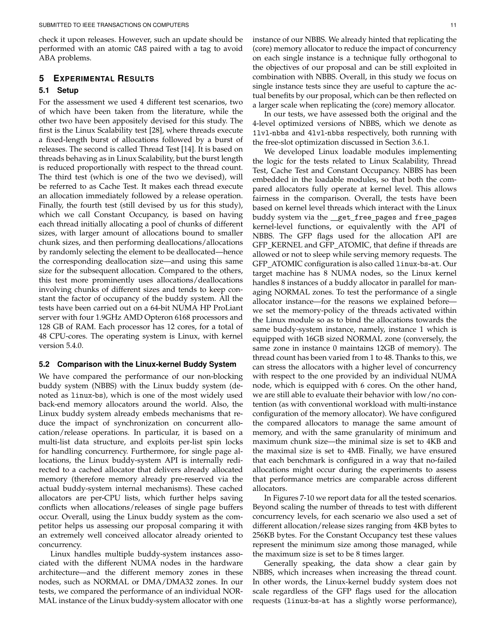check it upon releases. However, such an update should be performed with an atomic CAS paired with a tag to avoid ABA problems.

# **5 EXPERIMENTAL RESULTS**

## **5.1 Setup**

For the assessment we used 4 different test scenarios, two of which have been taken from the literature, while the other two have been appositely devised for this study. The first is the Linux Scalability test [28], where threads execute a fixed-length burst of allocations followed by a burst of releases. The second is called Thread Test [14]. It is based on threads behaving as in Linux Scalability, but the burst length is reduced proportionally with respect to the thread count. The third test (which is one of the two we devised), will be referred to as Cache Test. It makes each thread execute an allocation immediately followed by a release operation. Finally, the fourth test (still devised by us for this study), which we call Constant Occupancy, is based on having each thread initially allocating a pool of chunks of different sizes, with larger amount of allocations bound to smaller chunk sizes, and then performing deallocations/allocations by randomly selecting the element to be deallocated—hence the corresponding deallocation size—and using this same size for the subsequent allocation. Compared to the others, this test more prominently uses allocations/deallocations involving chunks of different sizes and tends to keep constant the factor of occupancy of the buddy system. All the tests have been carried out on a 64-bit NUMA HP ProLiant server with four 1.9GHz AMD Opteron 6168 processors and 128 GB of RAM. Each processor has 12 cores, for a total of 48 CPU-cores. The operating system is Linux, with kernel version 5.4.0.

## **5.2 Comparison with the Linux-kernel Buddy System**

We have compared the performance of our non-blocking buddy system (NBBS) with the Linux buddy system (denoted as linux-bs), which is one of the most widely used back-end memory allocators around the world. Also, the Linux buddy system already embeds mechanisms that reduce the impact of synchronization on concurrent allocation/release operations. In particular, it is based on a multi-list data structure, and exploits per-list spin locks for handling concurrency. Furthermore, for single page allocations, the Linux buddy-system API is internally redirected to a cached allocator that delivers already allocated memory (therefore memory already pre-reserved via the actual buddy-system internal mechanisms). These cached allocators are per-CPU lists, which further helps saving conflicts when allocations/releases of single page buffers occur. Overall, using the Linux buddy system as the competitor helps us assessing our proposal comparing it with an extremely well conceived allocator already oriented to concurrency.

Linux handles multiple buddy-system instances associated with the different NUMA nodes in the hardware architecture—and the different memory zones in these nodes, such as NORMAL or DMA/DMA32 zones. In our tests, we compared the performance of an individual NOR-MAL instance of the Linux buddy-system allocator with one

instance of our NBBS. We already hinted that replicating the (core) memory allocator to reduce the impact of concurrency on each single instance is a technique fully orthogonal to the objectives of our proposal and can be still exploited in combination with NBBS. Overall, in this study we focus on single instance tests since they are useful to capture the actual benefits by our proposal, which can be then reflected on a larger scale when replicating the (core) memory allocator.

In our tests, we have assessed both the original and the 4-level optimized versions of NBBS, which we denote as 1lvl-nbbs and 4lvl-nbbs respectively, both running with the free-slot optimization discussed in Section 3.6.1.

We developed Linux loadable modules implementing the logic for the tests related to Linux Scalability, Thread Test, Cache Test and Constant Occupancy. NBBS has been embedded in the loadable modules, so that both the compared allocators fully operate at kernel level. This allows fairness in the comparison. Overall, the tests have been based on kernel level threads which interact with the Linux buddy system via the \_get\_free\_pages and free\_pages kernel-level functions, or equivalently with the API of NBBS. The GFP flags used for the allocation API are GFP KERNEL and GFP ATOMIC, that define if threads are allowed or not to sleep while serving memory requests. The GFP ATOMIC configuration is also called linux-bs-at. Our target machine has 8 NUMA nodes, so the Linux kernel handles 8 instances of a buddy allocator in parallel for managing NORMAL zones. To test the performance of a single allocator instance—for the reasons we explained before we set the memory-policy of the threads activated within the Linux module so as to bind the allocations towards the same buddy-system instance, namely, instance 1 which is equipped with 16GB sized NORMAL zone (conversely, the same zone in instance 0 maintains 12GB of memory). The thread count has been varied from 1 to 48. Thanks to this, we can stress the allocators with a higher level of concurrency with respect to the one provided by an individual NUMA node, which is equipped with 6 cores. On the other hand, we are still able to evaluate their behavior with low/no contention (as with conventional workload with multi-instance configuration of the memory allocator). We have configured the compared allocators to manage the same amount of memory, and with the same granularity of minimum and maximum chunk size—the minimal size is set to 4KB and the maximal size is set to 4MB. Finally, we have ensured that each benchmark is configured in a way that no-failed allocations might occur during the experiments to assess that performance metrics are comparable across different allocators.

In Figures 7-10 we report data for all the tested scenarios. Beyond scaling the number of threads to test with different concurrency levels, for each scenario we also used a set of different allocation/release sizes ranging from 4KB bytes to 256KB bytes. For the Constant Occupancy test these values represent the minimum size among those managed, while the maximum size is set to be 8 times larger.

Generally speaking, the data show a clear gain by NBBS, which increases when increasing the thread count. In other words, the Linux-kernel buddy system does not scale regardless of the GFP flags used for the allocation requests (linux-bs-at has a slightly worse performance),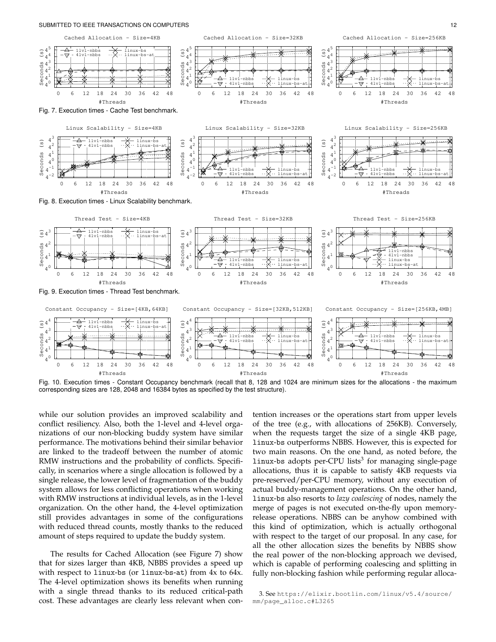



Fig. 10. Execution times - Constant Occupancy benchmark (recall that 8, 128 and 1024 are minimum sizes for the allocations - the maximum corresponding sizes are 128, 2048 and 16384 bytes as specified by the test structure).

while our solution provides an improved scalability and conflict resiliency. Also, both the 1-level and 4-level organizations of our non-blocking buddy system have similar performance. The motivations behind their similar behavior are linked to the tradeoff between the number of atomic RMW instructions and the probability of conflicts. Specifically, in scenarios where a single allocation is followed by a single release, the lower level of fragmentation of the buddy system allows for less conflicting operations when working with RMW instructions at individual levels, as in the 1-level organization. On the other hand, the 4-level optimization still provides advantages in some of the configurations with reduced thread counts, mostly thanks to the reduced amount of steps required to update the buddy system.

The results for Cached Allocation (see Figure 7) show that for sizes larger than 4KB, NBBS provides a speed up with respect to linux-bs (or linux-bs-at) from 4x to 64x. The 4-level optimization shows its benefits when running with a single thread thanks to its reduced critical-path cost. These advantages are clearly less relevant when contention increases or the operations start from upper levels of the tree (e.g., with allocations of 256KB). Conversely, when the requests target the size of a single 4KB page, linux-bs outperforms NBBS. However, this is expected for two main reasons. On the one hand, as noted before, the  $1$ inux-bs adopts per-CPU lists $^3$  for managing single-page allocations, thus it is capable to satisfy 4KB requests via pre-reserved/per-CPU memory, without any execution of actual buddy-management operations. On the other hand, linux-bs also resorts to *lazy coalescing* of nodes, namely the merge of pages is not executed on-the-fly upon memoryrelease operations. NBBS can be anyhow combined with this kind of optimization, which is actually orthogonal with respect to the target of our proposal. In any case, for all the other allocation sizes the benefits by NBBS show the real power of the non-blocking approach we devised, which is capable of performing coalescing and splitting in fully non-blocking fashion while performing regular alloca-

<sup>3.</sup> See https://elixir.bootlin.com/linux/v5.4/source/ mm/page\_alloc.c#L3265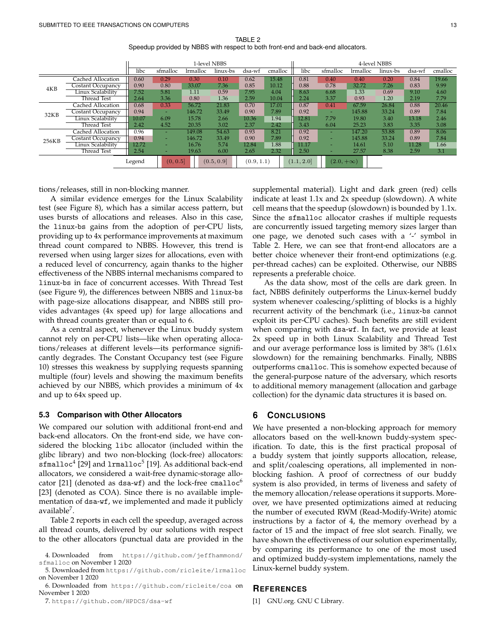TABLE 2 Speedup provided by NBBS with respect to both front-end and back-end allocators.

|        |                    | 1-level NBBS |          |            |            |        |            |                  | 4-level NBBS             |                 |          |        |         |  |
|--------|--------------------|--------------|----------|------------|------------|--------|------------|------------------|--------------------------|-----------------|----------|--------|---------|--|
|        |                    | libc         | sfmalloc | lrmalloc   | linux-bs   | dsa-wf | cmalloc    | libc             | sfmalloc                 | <i>lrmalloc</i> | linux-bs | dsa-wf | cmalloc |  |
| 4KB    | Cached Allocation  | 0.60         | 0.29     | 0.30       | 0.10       | 0.62   | 15.48      | 0.81             | 0.40                     | 0.40            | 0.20     | 0.84   | 19.66   |  |
|        | Costant Occupancy  | 0.90         | 0.80     | 33.07      | 7.36       | 0.85   | 10.12      | 0.88             | 0.78                     | 32.72           | 7.26     | 0.83   | 9.99    |  |
|        | Linux Scalability  | 7.52         | 5.81     | 1.11       | 0.59       | 7.95   | 4.04       | 8.63             | 6.68                     | 1.33            | 0.69     | 9.10   | 4.60    |  |
|        | <b>Thread Test</b> | 2.64         | 3.36     | 0.80       | 1.36       | 2.59   | 10.04      | 2.24             | 3.37                     | 0.93            | 1.20     | 2.19   | 7.79    |  |
| 32KB   | Cached Allocation  | 0.68         | 0.33     | 56.72      | 21.83      | 0.70   | 17.01      | 0.87             | 0.41                     | 67.59           | 26.84    | 0.88   | 20.46   |  |
|        | Costant Occupancy  | 0.94         | ۰        | 146.72     | 33.49      | 0.90   | 7.89       | 0.92             | $\overline{\phantom{a}}$ | 145.88          | 33.24    | 0.89   | 7.84    |  |
|        | Linux Scalability  | 10.07        | 6.09     | 15.78      | 2.66       | 10.36  | 1.94       | 12.81            | 7.79                     | 19.80           | 3.40     | 13.18  | 2.46    |  |
|        | Thread Test        | 2.42         | 4.52     | 20.35      | 3.02       | 2.37   | 2.42       | 3.43             | 6.04                     | 25.23           | 3.83     | 3.35   | 3.08    |  |
| 256KB  | Cached Allocation  | 0.96         | ۰        | 149.08     | 54.63      | 0.93   | 8.21       | 0.92             | $\overline{\phantom{a}}$ | 147.20          | 53.88    | 0.89   | 8.06    |  |
|        | Costant Occupancy  | 0.94         | -        | 146.72     | 33.49      | 0.90   | 7.89       | 0.92             | ۰                        | 145.88          | 33.24    | 0.89   | 7.84    |  |
|        | Linux Scalability  | 12.72        |          | 16.76      | 5.74       | 12.84  | 1.88       | 11.17            | ۰                        | 14.61           | 5.10     | 11.28  | 1.66    |  |
|        | <b>Thread Test</b> | 2.54         | -        | 19.63      | 6.00       | 2.65   | 2.32       | 2.50             | ۰                        | 27.57           | 8.38     | 2.59   | 3.1     |  |
| Legend |                    | (0, 0.5]     |          | (0.5, 0.9] | (0.9, 1.1) |        | (1.1, 2.0] | $(2.0, +\infty)$ |                          |                 |          |        |         |  |

tions/releases, still in non-blocking manner.

A similar evidence emerges for the Linux Scalability test (see Figure 8), which has a similar access pattern, but uses bursts of allocations and releases. Also in this case, the linux-bs gains from the adoption of per-CPU lists, providing up to 4x performance improvements at maximum thread count compared to NBBS. However, this trend is reversed when using larger sizes for allocations, even with a reduced level of concurrency, again thanks to the higher effectiveness of the NBBS internal mechanisms compared to linux-bs in face of concurrent accesses. With Thread Test (see Figure 9), the differences between NBBS and linux-bs with page-size allocations disappear, and NBBS still provides advantages (4x speed up) for large allocations and with thread counts greater than or equal to 6.

As a central aspect, whenever the Linux buddy system cannot rely on per-CPU lists—like when operating allocations/releases at different levels—its performance significantly degrades. The Constant Occupancy test (see Figure 10) stresses this weakness by supplying requests spanning multiple (four) levels and showing the maximum benefits achieved by our NBBS, which provides a minimum of 4x and up to 64x speed up.

## **5.3 Comparison with Other Allocators**

We compared our solution with additional front-end and back-end allocators. On the front-end side, we have considered the blocking libc allocator (included within the glibc library) and two non-blocking (lock-free) allocators: sfmalloc<sup>4</sup> [29] and 1rmalloc<sup>5</sup> [19]. As additional back-end allocators, we considered a wait-free dynamic-storage allocator [21] (denoted as dsa-wf) and the lock-free cmalloc<sup>6</sup> [23] (denoted as COA). Since there is no available implementation of dsa-wf, we implemented and made it publicly available<sup>7</sup>.

Table 2 reports in each cell the speedup, averaged across all thread counts, delivered by our solutions with respect to the other allocators (punctual data are provided in the

6. Downloaded from https://github.com/ricleite/coa on November 1 2020

7. https://github.com/HPDCS/dsa-wf

supplemental material). Light and dark green (red) cells indicate at least 1.1x and 2x speedup (slowdown). A white cell means that the speedup (slowdown) is bounded by 1.1x. Since the sfmalloc allocator crashes if multiple requests are concurrently issued targeting memory sizes larger than one page, we denoted such cases with a '-' symbol in Table 2. Here, we can see that front-end allocators are a better choice whenever their front-end optimizations (e.g. per-thread caches) can be exploited. Otherwise, our NBBS represents a preferable choice.

As the data show, most of the cells are dark green. In fact, NBBS definitely outperforms the Linux-kernel buddy system whenever coalescing/splitting of blocks is a highly recurrent activity of the benchmark (i.e., linux-bs cannot exploit its per-CPU caches). Such benefits are still evident when comparing with dsa-wf. In fact, we provide at least 2x speed up in both Linux Scalability and Thread Test and our average performance loss is limited by 38% (1.61x slowdown) for the remaining benchmarks. Finally, NBBS outperforms cmalloc. This is somehow expected because of the general-purpose nature of the adversary, which resorts to additional memory management (allocation and garbage collection) for the dynamic data structures it is based on.

# **6 CONCLUSIONS**

We have presented a non-blocking approach for memory allocators based on the well-known buddy-system specification. To date, this is the first practical proposal of a buddy system that jointly supports allocation, release, and split/coalescing operations, all implemented in nonblocking fashion. A proof of correctness of our buddy system is also provided, in terms of liveness and safety of the memory allocation/release operations it supports. Moreover, we have presented optimizations aimed at reducing the number of executed RWM (Read-Modify-Write) atomic instructions by a factor of 4, the memory overhead by a factor of 15 and the impact of free slot search. Finally, we have shown the effectiveness of our solution experimentally, by comparing its performance to one of the most used and optimized buddy-system implementations, namely the Linux-kernel buddy system.

## **REFERENCES**

[1] GNU.org. GNU C Library.

<sup>4.</sup> Downloaded from https://github.com/jeffhammond/ sfmalloc on November 1 2020

<sup>5.</sup> Downloaded from https://github.com/ricleite/lrmalloc on November 1 2020